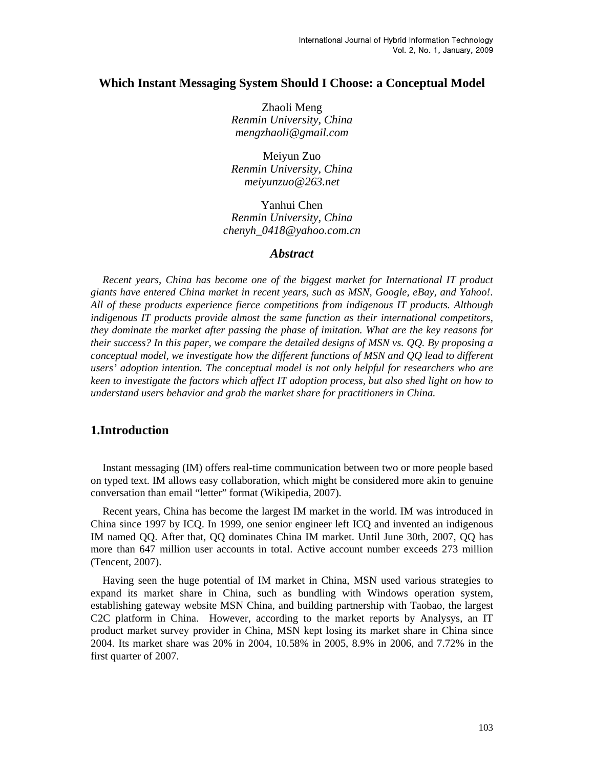# **Which Instant Messaging System Should I Choose: a Conceptual Model**

Zhaoli Meng *Renmin University, China [mengzhaoli@gmail.com](mailto:mengzhaoli@gmail.com)* 

Meiyun Zuo *Renmin University, China meiyunzuo@263.net* 

Yanhui Chen *Renmin University, China [chenyh\\_0418@yahoo.com.cn](mailto:chenyh_0418@yahoo.com.cn)* 

#### *Abstract*

*Recent years, China has become one of the biggest market for International IT product giants have entered China market in recent years, such as MSN, Google, eBay, and Yahoo!. All of these products experience fierce competitions from indigenous IT products. Although indigenous IT products provide almost the same function as their international competitors, they dominate the market after passing the phase of imitation. What are the key reasons for their success? In this paper, we compare the detailed designs of MSN vs. QQ. By proposing a conceptual model, we investigate how the different functions of MSN and QQ lead to different users' adoption intention. The conceptual model is not only helpful for researchers who are keen to investigate the factors which affect IT adoption process, but also shed light on how to understand users behavior and grab the market share for practitioners in China.* 

## **1.Introduction**

Instant messaging (IM) offers real-time communication between two or more people based on typed text. IM allows easy collaboration, which might be considered more akin to genuine conversation than email "letter" format (Wikipedia, 2007).

Recent years, China has become the largest IM market in the world. IM was introduced in China since 1997 by ICQ. In 1999, one senior engineer left ICQ and invented an indigenous IM named QQ. After that, QQ dominates China IM market. Until June 30th, 2007, QQ has more than 647 million user accounts in total. Active account number exceeds 273 million (Tencent, 2007).

Having seen the huge potential of IM market in China, MSN used various strategies to expand its market share in China, such as bundling with Windows operation system, establishing gateway website MSN China, and building partnership with Taobao, the largest C2C platform in China. However, according to the market reports by Analysys, an IT product market survey provider in China, MSN kept losing its market share in China since 2004. Its market share was 20% in 2004, 10.58% in 2005, 8.9% in 2006, and 7.72% in the first quarter of 2007.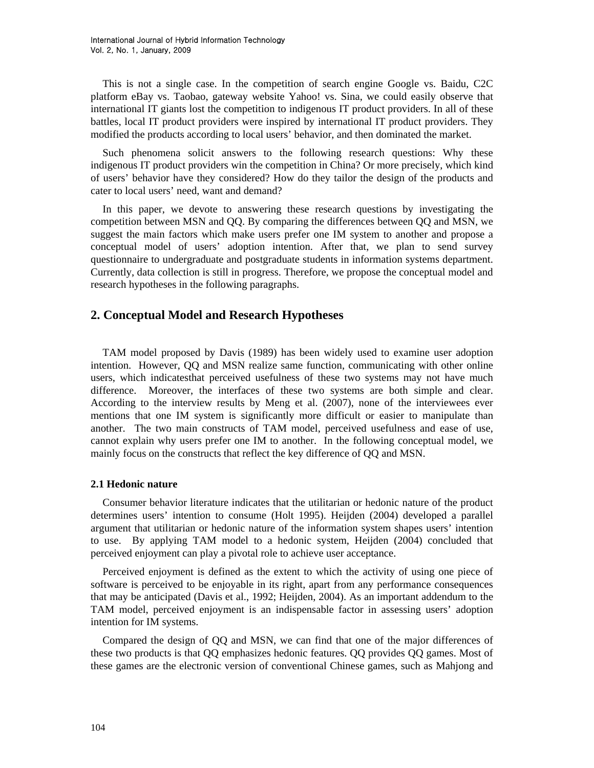This is not a single case. In the competition of search engine Google vs. Baidu, C2C platform eBay vs. Taobao, gateway website Yahoo! vs. Sina, we could easily observe that international IT giants lost the competition to indigenous IT product providers. In all of these battles, local IT product providers were inspired by international IT product providers. They modified the products according to local users' behavior, and then dominated the market.

Such phenomena solicit answers to the following research questions: Why these indigenous IT product providers win the competition in China? Or more precisely, which kind of users' behavior have they considered? How do they tailor the design of the products and cater to local users' need, want and demand?

In this paper, we devote to answering these research questions by investigating the competition between MSN and QQ. By comparing the differences between QQ and MSN, we suggest the main factors which make users prefer one IM system to another and propose a conceptual model of users' adoption intention. After that, we plan to send survey questionnaire to undergraduate and postgraduate students in information systems department. Currently, data collection is still in progress. Therefore, we propose the conceptual model and research hypotheses in the following paragraphs.

# **2. Conceptual Model and Research Hypotheses**

TAM model proposed by Davis (1989) has been widely used to examine user adoption intention. However, QQ and MSN realize same function, communicating with other online users, which indicatesthat perceived usefulness of these two systems may not have much difference. Moreover, the interfaces of these two systems are both simple and clear. According to the interview results by Meng et al. (2007), none of the interviewees ever mentions that one IM system is significantly more difficult or easier to manipulate than another. The two main constructs of TAM model, perceived usefulness and ease of use, cannot explain why users prefer one IM to another. In the following conceptual model, we mainly focus on the constructs that reflect the key difference of QQ and MSN.

#### **2.1 Hedonic nature**

Consumer behavior literature indicates that the utilitarian or hedonic nature of the product determines users' intention to consume (Holt 1995). Heijden (2004) developed a parallel argument that utilitarian or hedonic nature of the information system shapes users' intention to use. By applying TAM model to a hedonic system, Heijden (2004) concluded that perceived enjoyment can play a pivotal role to achieve user acceptance.

Perceived enjoyment is defined as the extent to which the activity of using one piece of software is perceived to be enjoyable in its right, apart from any performance consequences that may be anticipated (Davis et al., 1992; Heijden, 2004). As an important addendum to the TAM model, perceived enjoyment is an indispensable factor in assessing users' adoption intention for IM systems.

Compared the design of QQ and MSN, we can find that one of the major differences of these two products is that QQ emphasizes hedonic features. QQ provides QQ games. Most of these games are the electronic version of conventional Chinese games, such as Mahjong and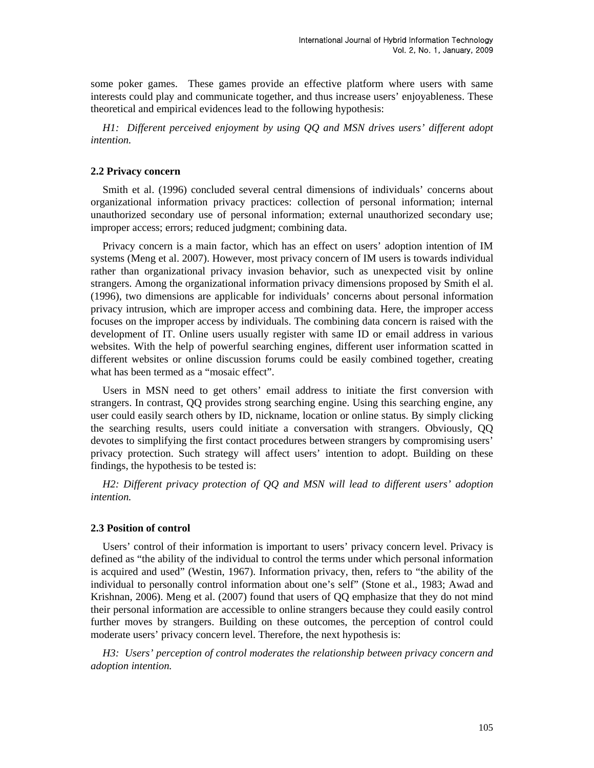some poker games. These games provide an effective platform where users with same interests could play and communicate together, and thus increase users' enjoyableness. These theoretical and empirical evidences lead to the following hypothesis:

*H1: Different perceived enjoyment by using QQ and MSN drives users' different adopt intention.* 

#### **2.2 Privacy concern**

Smith et al. (1996) concluded several central dimensions of individuals' concerns about organizational information privacy practices: collection of personal information; internal unauthorized secondary use of personal information; external unauthorized secondary use; improper access; errors; reduced judgment; combining data.

Privacy concern is a main factor, which has an effect on users' adoption intention of IM systems (Meng et al. 2007). However, most privacy concern of IM users is towards individual rather than organizational privacy invasion behavior, such as unexpected visit by online strangers. Among the organizational information privacy dimensions proposed by Smith el al. (1996), two dimensions are applicable for individuals' concerns about personal information privacy intrusion, which are improper access and combining data. Here, the improper access focuses on the improper access by individuals. The combining data concern is raised with the development of IT. Online users usually register with same ID or email address in various websites. With the help of powerful searching engines, different user information scatted in different websites or online discussion forums could be easily combined together, creating what has been termed as a "mosaic effect".

Users in MSN need to get others' email address to initiate the first conversion with strangers. In contrast, QQ provides strong searching engine. Using this searching engine, any user could easily search others by ID, nickname, location or online status. By simply clicking the searching results, users could initiate a conversation with strangers. Obviously, QQ devotes to simplifying the first contact procedures between strangers by compromising users' privacy protection. Such strategy will affect users' intention to adopt. Building on these findings, the hypothesis to be tested is:

*H2: Different privacy protection of QQ and MSN will lead to different users' adoption intention.* 

#### **2.3 Position of control**

Users' control of their information is important to users' privacy concern level. Privacy is defined as "the ability of the individual to control the terms under which personal information is acquired and used" (Westin, 1967). Information privacy, then, refers to "the ability of the individual to personally control information about one's self" (Stone et al., 1983; Awad and Krishnan, 2006). Meng et al. (2007) found that users of QQ emphasize that they do not mind their personal information are accessible to online strangers because they could easily control further moves by strangers. Building on these outcomes, the perception of control could moderate users' privacy concern level. Therefore, the next hypothesis is:

*H3: Users' perception of control moderates the relationship between privacy concern and adoption intention.*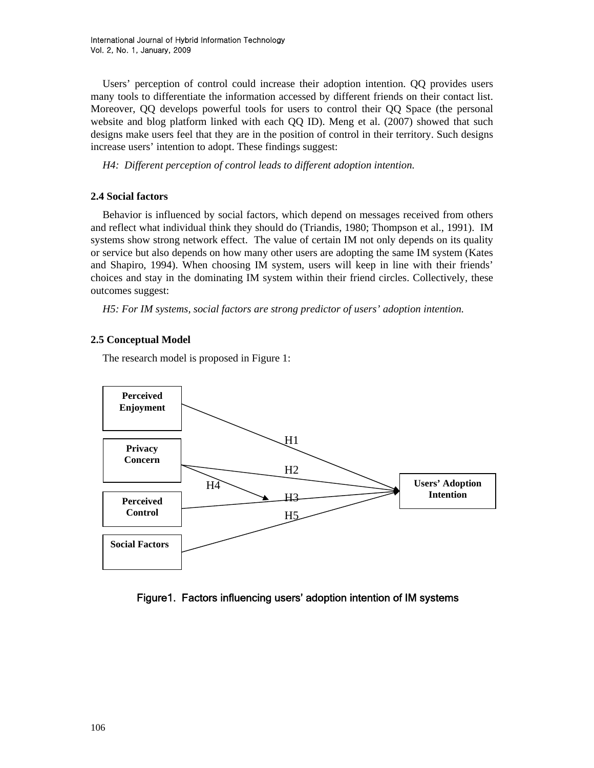Users' perception of control could increase their adoption intention. QQ provides users many tools to differentiate the information accessed by different friends on their contact list. Moreover, QQ develops powerful tools for users to control their QQ Space (the personal website and blog platform linked with each QQ ID). Meng et al. (2007) showed that such designs make users feel that they are in the position of control in their territory. Such designs increase users' intention to adopt. These findings suggest:

*H4: Different perception of control leads to different adoption intention.* 

#### **2.4 Social factors**

Behavior is influenced by social factors, which depend on messages received from others and reflect what individual think they should do (Triandis, 1980; Thompson et al., 1991). IM systems show strong network effect. The value of certain IM not only depends on its quality or service but also depends on how many other users are adopting the same IM system (Kates and Shapiro, 1994). When choosing IM system, users will keep in line with their friends' choices and stay in the dominating IM system within their friend circles. Collectively, these outcomes suggest:

*H5: For IM systems, social factors are strong predictor of users' adoption intention.* 

## **2.5 Conceptual Model**

The research model is proposed in Figure 1:



Figure1. Factors influencing users' adoption intention of IM systems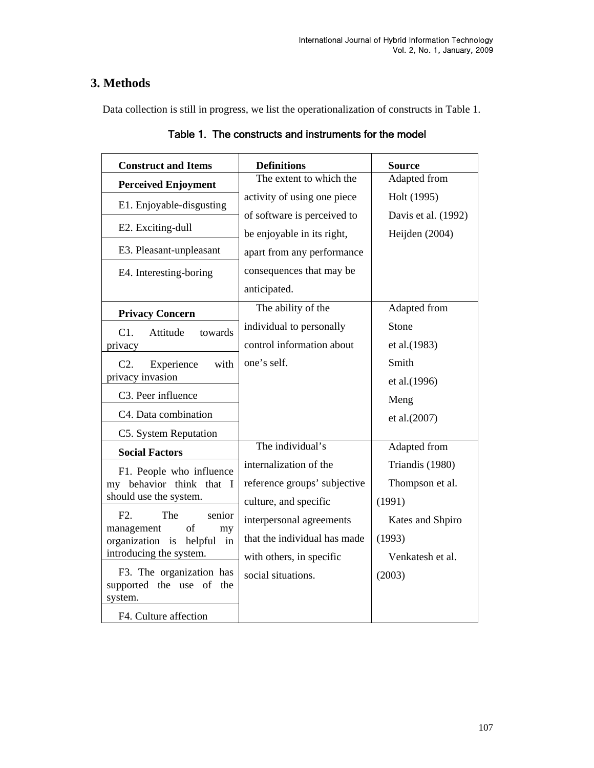# **3. Methods**

Data collection is still in progress, we list the operationalization of constructs in Table 1.

| <b>Construct and Items</b>                              | <b>Definitions</b><br>The extent to which the | <b>Source</b><br>Adapted from |
|---------------------------------------------------------|-----------------------------------------------|-------------------------------|
| <b>Perceived Enjoyment</b>                              |                                               |                               |
| E1. Enjoyable-disgusting                                | activity of using one piece                   | Holt (1995)                   |
|                                                         | of software is perceived to                   | Davis et al. (1992)           |
| E2. Exciting-dull                                       | be enjoyable in its right,                    | Heijden (2004)                |
| E3. Pleasant-unpleasant                                 | apart from any performance                    |                               |
| E4. Interesting-boring                                  | consequences that may be                      |                               |
|                                                         | anticipated.                                  |                               |
| <b>Privacy Concern</b>                                  | The ability of the                            | Adapted from                  |
| C1.<br>Attitude<br>towards                              | individual to personally                      | Stone                         |
| privacy                                                 | control information about                     | et al.(1983)                  |
| C2.<br>Experience<br>with                               | one's self.                                   | Smith                         |
| privacy invasion                                        |                                               | et al.(1996)                  |
| C3. Peer influence                                      |                                               | Meng                          |
| C4. Data combination                                    |                                               | et al.(2007)                  |
| C5. System Reputation                                   |                                               |                               |
| <b>Social Factors</b>                                   | The individual's                              | Adapted from                  |
| F1. People who influence                                | internalization of the                        | Triandis (1980)               |
| my behavior think that I                                | reference groups' subjective                  | Thompson et al.               |
| should use the system.                                  | culture, and specific                         | (1991)                        |
| F2.<br>The<br>senior                                    | interpersonal agreements                      | Kates and Shpiro              |
| of<br>management<br>my<br>organization is helpful<br>in | that the individual has made                  | (1993)                        |
| introducing the system.                                 | with others, in specific                      | Venkatesh et al.              |
| F3. The organization has                                | social situations.                            | (2003)                        |
| supported the use of the                                |                                               |                               |
| system.                                                 |                                               |                               |
| F4. Culture affection                                   |                                               |                               |

Table 1. The constructs and instruments for the model